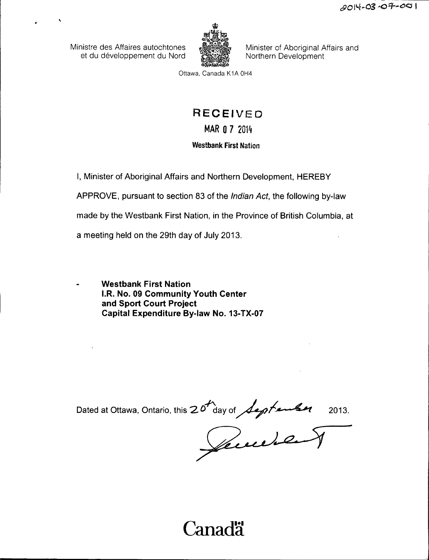Ministre des Affaires autochtones et du developpement du Nord



Minister of Aboriginal Affairs and Northern Development

Ottawa, Canada K1A OH4

# RECEIVED MAR 07 <sup>2014</sup> Westbank First Nation

I, Minister of Aboriginal Affairs and Northern Development, HEREBY

APPROVE, pursuant to section 83 of the Indian Act, the following by-law

made by the Westbank First Nation, in the Province of British Columbia, at

a meeting held on the 29th day of July 2013.

Westbank First Nation **I.R. No. 09 Community Youth Center** and Sport Court Project Capital Expenditure By-law No. 13-TX-07

Dated at Ottawa, Ontario, this  $20^{+}$  day of *Lagitanhan* 2013.

# Canadä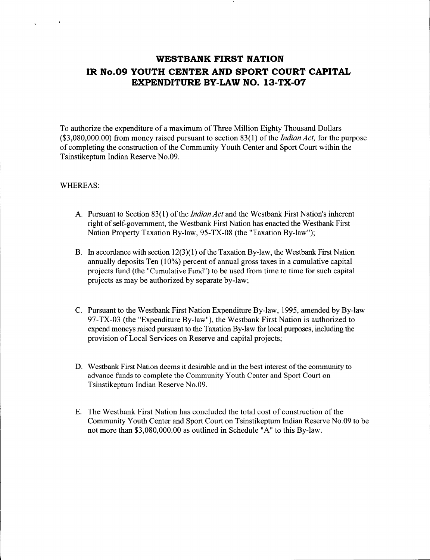# WESTBANK FIRST NATION IR No.09 YOUTH CENTER AND SPORT COURT CAPITAL EXPENDITURE BY-LAW NO. 13-TX-07

To authorize the expenditure of <sup>a</sup> maximum of Three Million Eighty Thousand Dollars  $(33,080,000.00)$  from money raised pursuant to section 83(1) of the *Indian Act*, for the purpose of completing the construction of the Community Youth Center and Sport Court within the Tsinstikeptum Indian Reserve No.09.

#### WHEREAS:

 $\mathbf{r}$ 

- A. Pursuant to Section 83(1) of the *Indian Act* and the Westbank First Nation's inherent right of self-government, the Westbank First Nation has enacted the Westbank First Nation Property Taxation By-law, 95-TX-08 (the "Taxation By-law");
- B. In accordance with section  $12(3)(1)$  of the Taxation By-law, the Westbank First Nation annually deposits Ten  $(10\%)$  percent of annual gross taxes in a cumulative capital projects fund (the "Cumulative Fund") to be used from time to time for such capital projects as may be authorized by separate by -law;
- C. Pursuant to the Westbank First Nation Expenditure By -law, 1995, amended by By -law 97-TX-03 (the "Expenditure By-law"), the Westbank First Nation is authorized to expend moneys raised pursuant to the Taxation By -law for local purposes, including the provision of Local Services on Reserve and capital projects;
- D. Westbank First Nation deems it desirable and in the best interest of the community to advance funds to complete the Community Youth Center and Sport Court on Tsinstikeptum Indian Reserve No.09.
- E. The Westbank First Nation has concluded the total cost of construction of the Community Youth Center and Sport Court on Tsinstikeptum Indian Reserve No.09 to be not more than \$3, 080,000.00 as outlined in Schedule " A" to this By -law.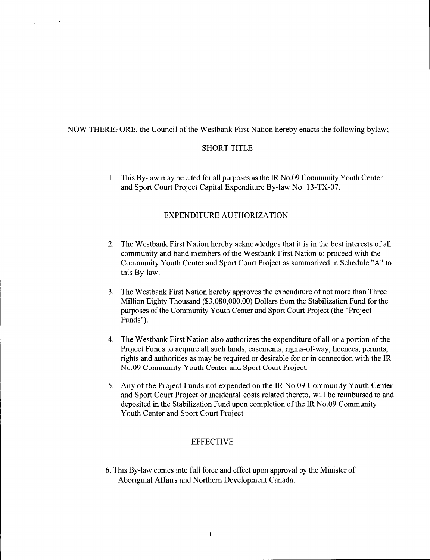#### NOW THEREFORE, the Council of the Westbank First Nation hereby enacts the following bylaw;

 $\mathbf{r}$ 

#### SHORT TITLE

1. This By -law may be cited for all purposes as the IR No.09 Community Youth Center and Sport Court Project Capital Expenditure By-law No. 13-TX-07.

#### EXPENDITURE AUTHORIZATION

- 2. The Westbank First Nation hereby acknowledges that it is in the best interests of all community and band members of the Westbank First Nation to proceed with the Community Youth Center and Sport Court Project as summarized in Schedule " A" to this By-law.
- 3. The Westbank First Nation hereby approves the expenditure of not more than Three Million Eighty Thousand (\$3,080,000.00) Dollars from the Stabilization Fund for the purposes of the Community Youth Center and Sport Court Project (the " Project Funds").
- 4. The Westbank First Nation also authorizes the expenditure of all or <sup>a</sup> portion of the Project Funds to acquire all such lands, easements, rights-of-way, licences, permits, rights and authorities as may be required or desirable for or in connection with the IR No.09 Community Youth Center and Sport Court Project.
- 5. Any of the Project Funds not expended on the IR No.09 Community Youth Center and Sport Court Project or incidental costs related thereto, will be reimbursed to and deposited in the Stabilization Fund upon completion of the IR No.09 Community Youth Center and Sport Court Project.

#### **EFFECTIVE**

6. This By -law comes into full force and effect upon approval by the Minister of Aboriginal Affairs and Northern Development Canada.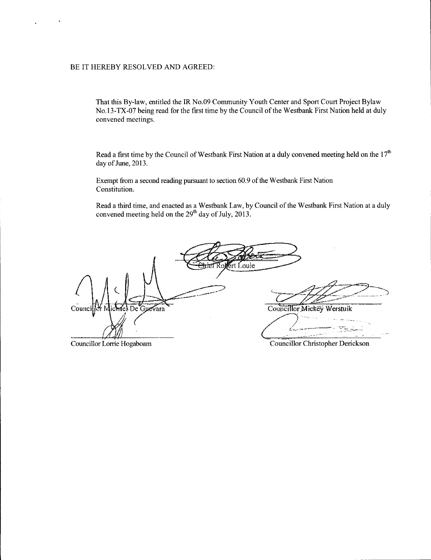#### BE IT HEREBY RESOLVED AND AGREED:

That this By -law, entitled the IR No.09 Community Youth Center and Sport Court Project Bylaw No. 13 -TX -07 being read for the first time by the Council of the Westbank First Nation held at duly convened meetings.

Read a first time by the Council of Westbank First Nation at a duly convened meeting held on the  $17<sup>th</sup>$ day of June, 2013.

Exempt from <sup>a</sup> second reading pursuant to section 60. 9 of the Westbank First Nation Constitution.

Read a third time, and enacted as <sup>a</sup> Westbank Law, by Council of the Westbank First Nation at <sup>a</sup> duly convened meeting held on the  $29<sup>th</sup>$  day of July,  $2013$ .

ert Louie ichael De Guevara Councillor Mickey Werstuik Council

Councillor Lorrie Hogaboam

Councillor Christopher Derickson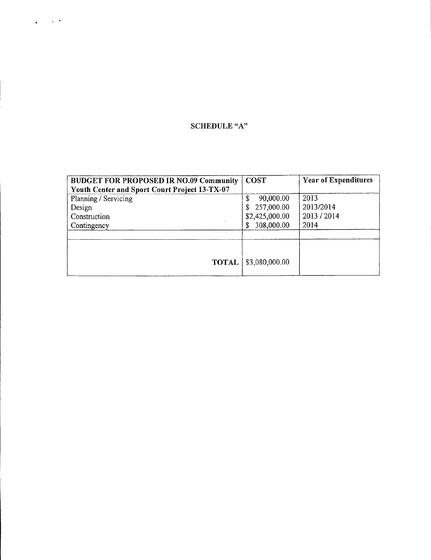## SCHEDULE "A"

 $\sim$   $\sim$ 

 $\hat{\boldsymbol{\cdot} }$ 

 $\bullet$ 

| <b>BUDGET FOR PROPOSED IR NO.09 Community</b><br>Youth Center and Sport Court Project 13-TX-07 | <b>COST</b>                   | <b>Year of Expenditures</b> |
|------------------------------------------------------------------------------------------------|-------------------------------|-----------------------------|
| Planning / Servicing<br>Design                                                                 | 90,000.00<br>\$<br>257,000.00 | 2013<br>2013/2014           |
| Construction<br>Contingency                                                                    | \$2,425,000.00<br>308,000.00  | 2013/2014<br>2014           |
|                                                                                                |                               |                             |
| <b>TOTAL</b>                                                                                   | \$3,080,000.00                |                             |